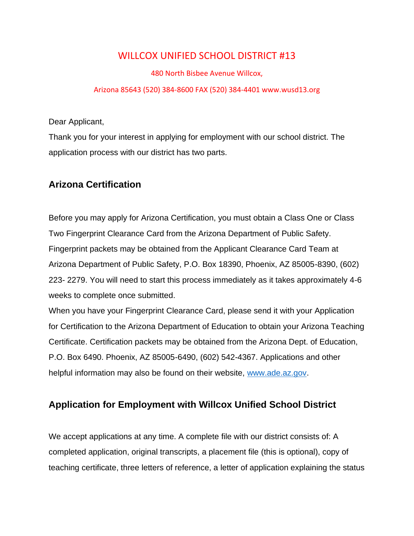## WILLCOX UNIFIED SCHOOL DISTRICT #13

480 North Bisbee Avenue Willcox,

## Arizona 85643 (520) 384-8600 FAX (520) 384-4401 www.wusd13.org

Dear Applicant,

Thank you for your interest in applying for employment with our school district. The application process with our district has two parts.

## **Arizona Certification**

Before you may apply for Arizona Certification, you must obtain a Class One or Class Two Fingerprint Clearance Card from the Arizona Department of Public Safety. Fingerprint packets may be obtained from the Applicant Clearance Card Team at Arizona Department of Public Safety, P.O. Box 18390, Phoenix, AZ 85005-8390, (602) 223- 2279. You will need to start this process immediately as it takes approximately 4-6 weeks to complete once submitted.

When you have your Fingerprint Clearance Card, please send it with your Application for Certification to the Arizona Department of Education to obtain your Arizona Teaching Certificate. Certification packets may be obtained from the Arizona Dept. of Education, P.O. Box 6490. Phoenix, AZ 85005-6490, (602) 542-4367. Applications and other helpful information may also be found on their website, [www.ade.az.gov.](http://www.ade.az.gov/)

## **Application for Employment with Willcox Unified School District**

We accept applications at any time. A complete file with our district consists of: A completed application, original transcripts, a placement file (this is optional), copy of teaching certificate, three letters of reference, a letter of application explaining the status